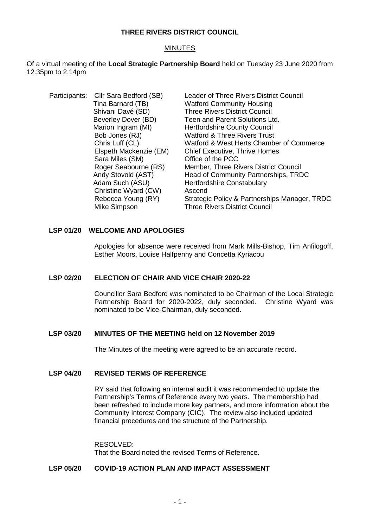## **THREE RIVERS DISTRICT COUNCIL**

## MINUTES

Of a virtual meeting of the **Local Strategic Partnership Board** held on Tuesday 23 June 2020 from 12.35pm to 2.14pm

| Participants: Cllr Sara Bedford (SB) | Leader of Three Rivers District Council       |
|--------------------------------------|-----------------------------------------------|
| Tina Barnard (TB)                    | <b>Watford Community Housing</b>              |
| Shivani Davé (SD)                    | <b>Three Rivers District Council</b>          |
| Beverley Dover (BD)                  | Teen and Parent Solutions Ltd.                |
| Marion Ingram (MI)                   | <b>Hertfordshire County Council</b>           |
| Bob Jones (RJ)                       | <b>Watford &amp; Three Rivers Trust</b>       |
| Chris Luff (CL)                      | Watford & West Herts Chamber of Commerce      |
| Elspeth Mackenzie (EM)               | <b>Chief Executive, Thrive Homes</b>          |
| Sara Miles (SM)                      | Office of the PCC                             |
| Roger Seabourne (RS)                 | Member, Three Rivers District Council         |
| Andy Stovold (AST)                   | Head of Community Partnerships, TRDC          |
| Adam Such (ASU)                      | <b>Hertfordshire Constabulary</b>             |
| Christine Wyard (CW)                 | Ascend                                        |
| Rebecca Young (RY)                   | Strategic Policy & Partnerships Manager, TRDC |
| Mike Simpson                         | <b>Three Rivers District Council</b>          |
|                                      |                                               |

# **LSP 01/20 WELCOME AND APOLOGIES**

Apologies for absence were received from Mark Mills-Bishop, Tim Anfilogoff, Esther Moors, Louise Halfpenny and Concetta Kyriacou

## **LSP 02/20 ELECTION OF CHAIR AND VICE CHAIR 2020-22**

Councillor Sara Bedford was nominated to be Chairman of the Local Strategic Partnership Board for 2020-2022, duly seconded. Christine Wyard was nominated to be Vice-Chairman, duly seconded.

## **LSP 03/20 MINUTES OF THE MEETING held on 12 November 2019**

The Minutes of the meeting were agreed to be an accurate record.

### **LSP 04/20 REVISED TERMS OF REFERENCE**

RY said that following an internal audit it was recommended to update the Partnership's Terms of Reference every two years. The membership had been refreshed to include more key partners, and more information about the Community Interest Company (CIC). The review also included updated financial procedures and the structure of the Partnership.

RESOLVED: That the Board noted the revised Terms of Reference.

### **LSP 05/20 COVID-19 ACTION PLAN AND IMPACT ASSESSMENT**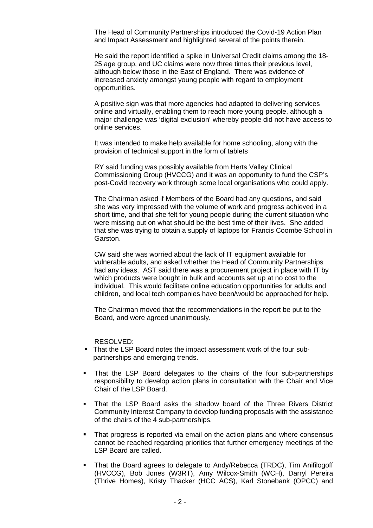The Head of Community Partnerships introduced the Covid-19 Action Plan and Impact Assessment and highlighted several of the points therein.

He said the report identified a spike in Universal Credit claims among the 18- 25 age group, and UC claims were now three times their previous level, although below those in the East of England. There was evidence of increased anxiety amongst young people with regard to employment opportunities.

A positive sign was that more agencies had adapted to delivering services online and virtually, enabling them to reach more young people, although a major challenge was 'digital exclusion' whereby people did not have access to online services.

It was intended to make help available for home schooling, along with the provision of technical support in the form of tablets

RY said funding was possibly available from Herts Valley Clinical Commissioning Group (HVCCG) and it was an opportunity to fund the CSP's post-Covid recovery work through some local organisations who could apply.

The Chairman asked if Members of the Board had any questions, and said she was very impressed with the volume of work and progress achieved in a short time, and that she felt for young people during the current situation who were missing out on what should be the best time of their lives. She added that she was trying to obtain a supply of laptops for Francis Coombe School in Garston.

CW said she was worried about the lack of IT equipment available for vulnerable adults, and asked whether the Head of Community Partnerships had any ideas. AST said there was a procurement project in place with IT by which products were bought in bulk and accounts set up at no cost to the individual. This would facilitate online education opportunities for adults and children, and local tech companies have been/would be approached for help.

The Chairman moved that the recommendations in the report be put to the Board, and were agreed unanimously.

RESOLVED:

- That the LSP Board notes the impact assessment work of the four subpartnerships and emerging trends.
- That the LSP Board delegates to the chairs of the four sub-partnerships responsibility to develop action plans in consultation with the Chair and Vice Chair of the LSP Board.
- That the LSP Board asks the shadow board of the Three Rivers District Community Interest Company to develop funding proposals with the assistance of the chairs of the 4 sub-partnerships.
- That progress is reported via email on the action plans and where consensus cannot be reached regarding priorities that further emergency meetings of the LSP Board are called.
- That the Board agrees to delegate to Andy/Rebecca (TRDC), Tim Anifilogoff (HVCCG), Bob Jones (W3RT), Amy Wilcox-Smith (WCH), Darryl Pereira (Thrive Homes), Kristy Thacker (HCC ACS), Karl Stonebank (OPCC) and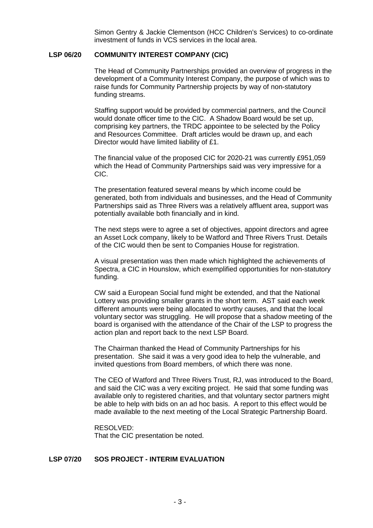Simon Gentry & Jackie Clementson (HCC Children's Services) to co-ordinate investment of funds in VCS services in the local area.

#### **LSP 06/20 COMMUNITY INTEREST COMPANY (CIC)**

The Head of Community Partnerships provided an overview of progress in the development of a Community Interest Company, the purpose of which was to raise funds for Community Partnership projects by way of non-statutory funding streams.

Staffing support would be provided by commercial partners, and the Council would donate officer time to the CIC. A Shadow Board would be set up, comprising key partners, the TRDC appointee to be selected by the Policy and Resources Committee. Draft articles would be drawn up, and each Director would have limited liability of £1.

The financial value of the proposed CIC for 2020-21 was currently £951,059 which the Head of Community Partnerships said was very impressive for a CIC.

The presentation featured several means by which income could be generated, both from individuals and businesses, and the Head of Community Partnerships said as Three Rivers was a relatively affluent area, support was potentially available both financially and in kind.

The next steps were to agree a set of objectives, appoint directors and agree an Asset Lock company, likely to be Watford and Three Rivers Trust. Details of the CIC would then be sent to Companies House for registration.

A visual presentation was then made which highlighted the achievements of Spectra, a CIC in Hounslow, which exemplified opportunities for non-statutory funding.

CW said a European Social fund might be extended, and that the National Lottery was providing smaller grants in the short term. AST said each week different amounts were being allocated to worthy causes, and that the local voluntary sector was struggling. He will propose that a shadow meeting of the board is organised with the attendance of the Chair of the LSP to progress the action plan and report back to the next LSP Board.

The Chairman thanked the Head of Community Partnerships for his presentation. She said it was a very good idea to help the vulnerable, and invited questions from Board members, of which there was none.

The CEO of Watford and Three Rivers Trust, RJ, was introduced to the Board, and said the CIC was a very exciting project. He said that some funding was available only to registered charities, and that voluntary sector partners might be able to help with bids on an ad hoc basis. A report to this effect would be made available to the next meeting of the Local Strategic Partnership Board.

RESOLVED: That the CIC presentation be noted.

# **LSP 07/20 SOS PROJECT - INTERIM EVALUATION**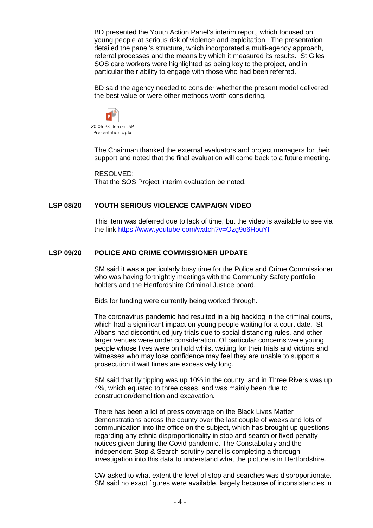BD presented the Youth Action Panel's interim report, which focused on young people at serious risk of violence and exploitation. The presentation detailed the panel's structure, which incorporated a multi-agency approach, referral processes and the means by which it measured its results. St Giles SOS care workers were highlighted as being key to the project, and in particular their ability to engage with those who had been referred.

BD said the agency needed to consider whether the present model delivered the best value or were other methods worth considering.



The Chairman thanked the external evaluators and project managers for their support and noted that the final evaluation will come back to a future meeting.

RESOLVED: That the SOS Project interim evaluation be noted.

## **LSP 08/20 YOUTH SERIOUS VIOLENCE CAMPAIGN VIDEO**

This item was deferred due to lack of time, but the video is available to see via the link <https://www.youtube.com/watch?v=Ozg9o6HouYI>

## **LSP 09/20 POLICE AND CRIME COMMISSIONER UPDATE**

SM said it was a particularly busy time for the Police and Crime Commissioner who was having fortnightly meetings with the Community Safety portfolio holders and the Hertfordshire Criminal Justice board.

Bids for funding were currently being worked through.

The coronavirus pandemic had resulted in a big backlog in the criminal courts, which had a significant impact on young people waiting for a court date. St Albans had discontinued jury trials due to social distancing rules, and other larger venues were under consideration. Of particular concerns were young people whose lives were on hold whilst waiting for their trials and victims and witnesses who may lose confidence may feel they are unable to support a prosecution if wait times are excessively long.

SM said that fly tipping was up 10% in the county, and in Three Rivers was up 4%, which equated to three cases, and was mainly been due to construction/demolition and excavation**.**

There has been a lot of press coverage on the Black Lives Matter demonstrations across the county over the last couple of weeks and lots of communication into the office on the subject, which has brought up questions regarding any ethnic disproportionality in stop and search or fixed penalty notices given during the Covid pandemic. The Constabulary and the independent Stop & Search scrutiny panel is completing a thorough investigation into this data to understand what the picture is in Hertfordshire.

CW asked to what extent the level of stop and searches was disproportionate. SM said no exact figures were available, largely because of inconsistencies in